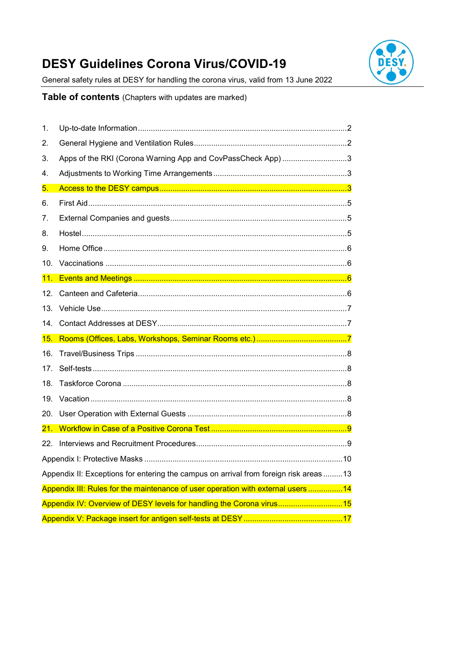# **DESY Guidelines Corona Virus/COVID-19**

General safety rules at DESY for handling the corona virus, valid from 13 June 2022

### Table of contents (Chapters with updates are marked)

| 1.                                                                                   |                                                                      |  |  |  |  |
|--------------------------------------------------------------------------------------|----------------------------------------------------------------------|--|--|--|--|
| 2.                                                                                   |                                                                      |  |  |  |  |
| 3.                                                                                   | Apps of the RKI (Corona Warning App and CovPassCheck App)3           |  |  |  |  |
| 4.                                                                                   |                                                                      |  |  |  |  |
| 5.                                                                                   |                                                                      |  |  |  |  |
| 6.                                                                                   |                                                                      |  |  |  |  |
| 7.                                                                                   |                                                                      |  |  |  |  |
| 8.                                                                                   |                                                                      |  |  |  |  |
| 9.                                                                                   |                                                                      |  |  |  |  |
| 10.                                                                                  |                                                                      |  |  |  |  |
| 11.                                                                                  |                                                                      |  |  |  |  |
| 12.                                                                                  |                                                                      |  |  |  |  |
| 13.                                                                                  |                                                                      |  |  |  |  |
|                                                                                      |                                                                      |  |  |  |  |
| 15.                                                                                  |                                                                      |  |  |  |  |
| 16.                                                                                  |                                                                      |  |  |  |  |
| 17 <sub>1</sub>                                                                      |                                                                      |  |  |  |  |
| 18.                                                                                  |                                                                      |  |  |  |  |
| 19.                                                                                  |                                                                      |  |  |  |  |
| 20.                                                                                  |                                                                      |  |  |  |  |
|                                                                                      |                                                                      |  |  |  |  |
|                                                                                      |                                                                      |  |  |  |  |
|                                                                                      |                                                                      |  |  |  |  |
| Appendix II: Exceptions for entering the campus on arrival from foreign risk areas13 |                                                                      |  |  |  |  |
| Appendix III: Rules for the maintenance of user operation with external users  14    |                                                                      |  |  |  |  |
|                                                                                      | Appendix IV: Overview of DESY levels for handling the Corona virus15 |  |  |  |  |
|                                                                                      |                                                                      |  |  |  |  |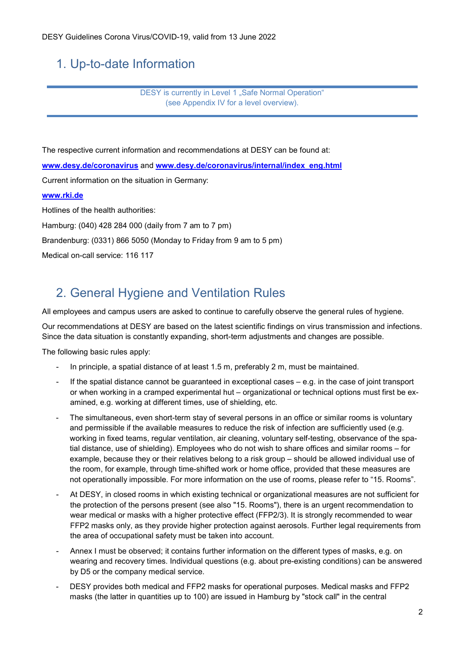### <span id="page-1-0"></span>1. Up-to-date Information

DESY is currently in Level 1 "Safe Normal Operation" (see Appendix IV for a level overview).

The respective current information and recommendations at DESY can be found at: **[www.desy.de/coronavirus](http://www.desy.de/coronavirus)** and **[www.desy.de/coronavirus/internal/index\\_eng.html](http://www.desy.de/coronavirus/internal/index_eng.html)** Current information on the situation in Germany: **[www.rki.de](http://www.rki.de/)** Hotlines of the health authorities: Hamburg: (040) 428 284 000 (daily from 7 am to 7 pm) Brandenburg: (0331) 866 5050 (Monday to Friday from 9 am to 5 pm) Medical on-call service: 116 117

## <span id="page-1-1"></span>2. General Hygiene and Ventilation Rules

All employees and campus users are asked to continue to carefully observe the general rules of hygiene.

Our recommendations at DESY are based on the latest scientific findings on virus transmission and infections. Since the data situation is constantly expanding, short-term adjustments and changes are possible.

The following basic rules apply:

- In principle, a spatial distance of at least 1.5 m, preferably 2 m, must be maintained.
- If the spatial distance cannot be quaranteed in exceptional cases e.g. in the case of joint transport or when working in a cramped experimental hut – organizational or technical options must first be examined, e.g. working at different times, use of shielding, etc.
- The simultaneous, even short-term stay of several persons in an office or similar rooms is voluntary and permissible if the available measures to reduce the risk of infection are sufficiently used (e.g. working in fixed teams, regular ventilation, air cleaning, voluntary self-testing, observance of the spatial distance, use of shielding). Employees who do not wish to share offices and similar rooms – for example, because they or their relatives belong to a risk group – should be allowed individual use of the room, for example, through time-shifted work or home office, provided that these measures are not operationally impossible. For more information on the use of rooms, please refer to "15. Rooms".
- At DESY, in closed rooms in which existing technical or organizational measures are not sufficient for the protection of the persons present (see also "15. Rooms"), there is an urgent recommendation to wear medical or masks with a higher protective effect (FFP2/3). It is strongly recommended to wear FFP2 masks only, as they provide higher protection against aerosols. Further legal requirements from the area of occupational safety must be taken into account.
- Annex I must be observed; it contains further information on the different types of masks, e.g. on wearing and recovery times. Individual questions (e.g. about pre-existing conditions) can be answered by D5 or the company medical service.
- DESY provides both medical and FFP2 masks for operational purposes. Medical masks and FFP2 masks (the latter in quantities up to 100) are issued in Hamburg by "stock call" in the central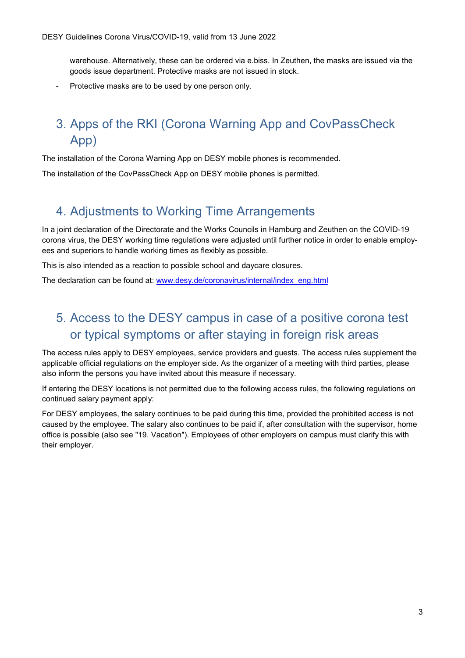warehouse. Alternatively, these can be ordered via e.biss. In Zeuthen, the masks are issued via the goods issue department. Protective masks are not issued in stock.

Protective masks are to be used by one person only.

# <span id="page-2-0"></span>3. Apps of the RKI (Corona Warning App and CovPassCheck App)

The installation of the Corona Warning App on DESY mobile phones is recommended.

The installation of the CovPassCheck App on DESY mobile phones is permitted.

### <span id="page-2-1"></span>4. Adjustments to Working Time Arrangements

In a joint declaration of the Directorate and the Works Councils in Hamburg and Zeuthen on the COVID-19 corona virus, the DESY working time regulations were adjusted until further notice in order to enable employees and superiors to handle working times as flexibly as possible.

This is also intended as a reaction to possible school and daycare closures.

The declaration can be found at: [www.desy.de/coronavirus/internal/index\\_eng.html](http://www.desy.de/coronavirus/internal/index_eng.html)

# <span id="page-2-2"></span>5. Access to the DESY campus in case of a positive corona test or typical symptoms or after staying in foreign risk areas

The access rules apply to DESY employees, service providers and guests. The access rules supplement the applicable official regulations on the employer side. As the organizer of a meeting with third parties, please also inform the persons you have invited about this measure if necessary.

If entering the DESY locations is not permitted due to the following access rules, the following regulations on continued salary payment apply:

For DESY employees, the salary continues to be paid during this time, provided the prohibited access is not caused by the employee. The salary also continues to be paid if, after consultation with the supervisor, home office is possible (also see "19. Vacation"). Employees of other employers on campus must clarify this with their employer.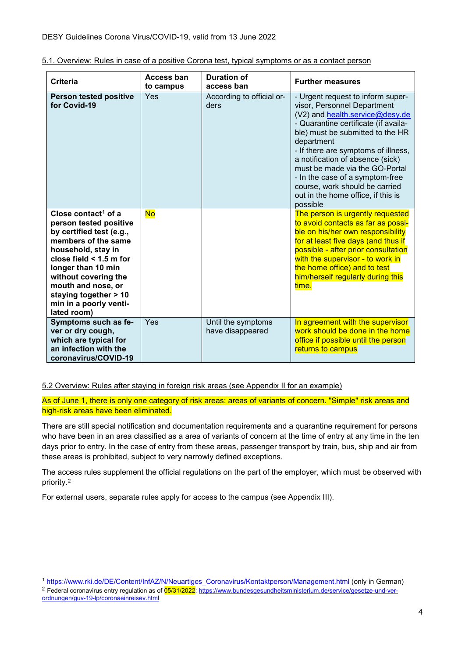| 5.1. Overview: Rules in case of a positive Corona test, typical symptoms or as a contact person |  |  |  |
|-------------------------------------------------------------------------------------------------|--|--|--|
|                                                                                                 |  |  |  |

| <b>Criteria</b>                                                                                                                                                                                                                                                                                       | <b>Access ban</b><br>to campus | <b>Duration of</b><br>access ban       | <b>Further measures</b>                                                                                                                                                                                                                                                                                                                                                                                                           |
|-------------------------------------------------------------------------------------------------------------------------------------------------------------------------------------------------------------------------------------------------------------------------------------------------------|--------------------------------|----------------------------------------|-----------------------------------------------------------------------------------------------------------------------------------------------------------------------------------------------------------------------------------------------------------------------------------------------------------------------------------------------------------------------------------------------------------------------------------|
| <b>Person tested positive</b><br>for Covid-19                                                                                                                                                                                                                                                         | Yes                            | According to official or-<br>ders      | - Urgent request to inform super-<br>visor, Personnel Department<br>(V2) and health.service@desy.de<br>- Quarantine certificate (if availa-<br>ble) must be submitted to the HR<br>department<br>- If there are symptoms of illness,<br>a notification of absence (sick)<br>must be made via the GO-Portal<br>- In the case of a symptom-free<br>course, work should be carried<br>out in the home office, if this is<br>possible |
| Close contact <sup>1</sup> of a<br>person tested positive<br>by certified test (e.g.,<br>members of the same<br>household, stay in<br>close field $< 1.5$ m for<br>longer than 10 min<br>without covering the<br>mouth and nose, or<br>staying together > 10<br>min in a poorly venti-<br>lated room) | <b>No</b>                      |                                        | The person is urgently requested<br>to avoid contacts as far as possi-<br>ble on his/her own responsibility<br>for at least five days (and thus if<br>possible - after prior consultation<br>with the supervisor - to work in<br>the home office) and to test<br>him/herself regularly during this<br>time.                                                                                                                       |
| Symptoms such as fe-<br>ver or dry cough,<br>which are typical for<br>an infection with the<br>coronavirus/COVID-19                                                                                                                                                                                   | Yes                            | Until the symptoms<br>have disappeared | In agreement with the supervisor<br>work should be done in the home<br>office if possible until the person<br>returns to campus                                                                                                                                                                                                                                                                                                   |

5.2 Overview: Rules after staying in foreign risk areas (see Appendix II for an example)

As of June 1, there is only one category of risk areas: areas of variants of concern. "Simple" risk areas and high-risk areas have been eliminated.

There are still special notification and documentation requirements and a quarantine requirement for persons who have been in an area classified as a area of variants of concern at the time of entry at any time in the ten days prior to entry. In the case of entry from these areas, passenger transport by train, bus, ship and air from these areas is prohibited, subject to very narrowly defined exceptions.

The access rules supplement the official regulations on the part of the employer, which must be observed with priority.[2](#page-3-1)

For external users, separate rules apply for access to the campus (see Appendix III).

<span id="page-3-0"></span> <sup>1</sup> [https://www.rki.de/DE/Content/InfAZ/N/Neuartiges\\_Coronavirus/Kontaktperson/Management.html](https://www.rki.de/DE/Content/InfAZ/N/Neuartiges_Coronavirus/Kontaktperson/Management.html) (only in German)

<span id="page-3-1"></span><sup>&</sup>lt;sup>2</sup> Federal coronavirus entry regulation as of 05/31/2022[: https://www.bundesgesundheitsministerium.de/service/gesetze-und-ver](https://www.bundesgesundheitsministerium.de/service/gesetze-und-verordnungen/guv-19-lp/coronaeinreisev.html)[ordnungen/guv-19-lp/coronaeinreisev.html](https://www.bundesgesundheitsministerium.de/service/gesetze-und-verordnungen/guv-19-lp/coronaeinreisev.html)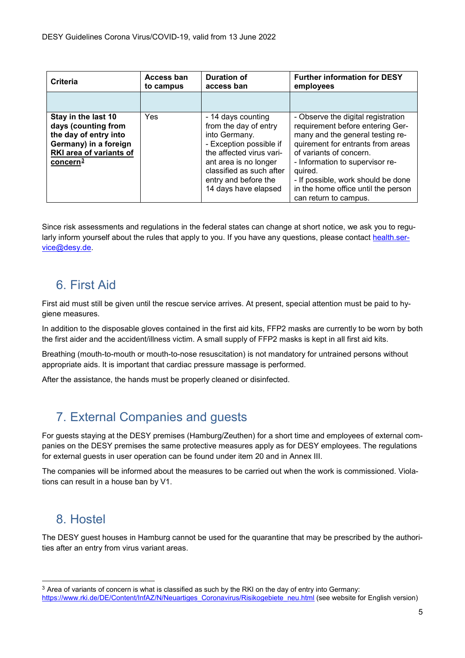| Criteria                                                                                                                                        | Access ban<br>to campus | Duration of<br>access ban                                                                                                                                                                                                | <b>Further information for DESY</b><br>employees                                                                                                                                                                                                                                                                               |
|-------------------------------------------------------------------------------------------------------------------------------------------------|-------------------------|--------------------------------------------------------------------------------------------------------------------------------------------------------------------------------------------------------------------------|--------------------------------------------------------------------------------------------------------------------------------------------------------------------------------------------------------------------------------------------------------------------------------------------------------------------------------|
|                                                                                                                                                 |                         |                                                                                                                                                                                                                          |                                                                                                                                                                                                                                                                                                                                |
| Stay in the last 10<br>days (counting from<br>the day of entry into<br>Germany) in a foreign<br>RKI area of variants of<br>concern <sup>3</sup> | Yes                     | - 14 days counting<br>from the day of entry<br>into Germany.<br>- Exception possible if<br>the affected virus vari-<br>ant area is no longer<br>classified as such after<br>entry and before the<br>14 days have elapsed | - Observe the digital registration<br>requirement before entering Ger-<br>many and the general testing re-<br>quirement for entrants from areas<br>of variants of concern.<br>- Information to supervisor re-<br>quired.<br>- If possible, work should be done<br>in the home office until the person<br>can return to campus. |

Since risk assessments and regulations in the federal states can change at short notice, we ask you to regularly inform yourself about the rules that apply to you. If you have any questions, please contact [health.ser](mailto:health.service@desy.de)[vice@desy.de.](mailto:health.service@desy.de)

## <span id="page-4-0"></span>6. First Aid

First aid must still be given until the rescue service arrives. At present, special attention must be paid to hygiene measures.

In addition to the disposable gloves contained in the first aid kits, FFP2 masks are currently to be worn by both the first aider and the accident/illness victim. A small supply of FFP2 masks is kept in all first aid kits.

Breathing (mouth-to-mouth or mouth-to-nose resuscitation) is not mandatory for untrained persons without appropriate aids. It is important that cardiac pressure massage is performed.

After the assistance, the hands must be properly cleaned or disinfected.

# <span id="page-4-1"></span>7. External Companies and guests

For guests staying at the DESY premises (Hamburg/Zeuthen) for a short time and employees of external companies on the DESY premises the same protective measures apply as for DESY employees. The regulations for external guests in user operation can be found under item 20 and in Annex III.

The companies will be informed about the measures to be carried out when the work is commissioned. Violations can result in a house ban by V1.

### <span id="page-4-2"></span>8. Hostel

The DESY guest houses in Hamburg cannot be used for the quarantine that may be prescribed by the authorities after an entry from virus variant areas.

<span id="page-4-3"></span><sup>&</sup>lt;sup>3</sup> Area of variants of concern is what is classified as such by the RKI on the day of entry into Germany: [https://www.rki.de/DE/Content/InfAZ/N/Neuartiges\\_Coronavirus/Risikogebiete\\_neu.html](https://www.rki.de/DE/Content/InfAZ/N/Neuartiges_Coronavirus/Risikogebiete_neu.html) (see website for English version)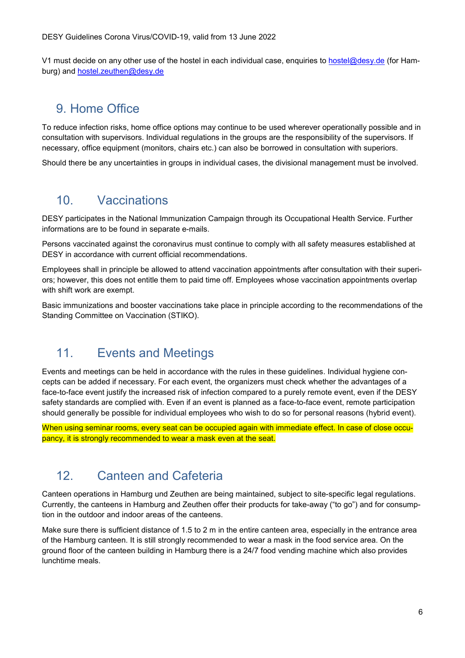V1 must decide on any other use of the hostel in each individual case, enquiries t[o hostel@desy.de](mailto:hostel@desy.de) (for Hamburg) and [hostel.zeuthen@desy.de](mailto:hostel.zeuthen@desy.de)

### <span id="page-5-0"></span>9. Home Office

To reduce infection risks, home office options may continue to be used wherever operationally possible and in consultation with supervisors. Individual regulations in the groups are the responsibility of the supervisors. If necessary, office equipment (monitors, chairs etc.) can also be borrowed in consultation with superiors.

Should there be any uncertainties in groups in individual cases, the divisional management must be involved.

### <span id="page-5-1"></span>10. Vaccinations

DESY participates in the National Immunization Campaign through its Occupational Health Service. Further informations are to be found in separate e-mails.

Persons vaccinated against the coronavirus must continue to comply with all safety measures established at DESY in accordance with current official recommendations.

Employees shall in principle be allowed to attend vaccination appointments after consultation with their superiors; however, this does not entitle them to paid time off. Employees whose vaccination appointments overlap with shift work are exempt.

Basic immunizations and booster vaccinations take place in principle according to the recommendations of the Standing Committee on Vaccination (STIKO).

# <span id="page-5-2"></span>11. Events and Meetings

Events and meetings can be held in accordance with the rules in these guidelines. Individual hygiene concepts can be added if necessary. For each event, the organizers must check whether the advantages of a face-to-face event justify the increased risk of infection compared to a purely remote event, even if the DESY safety standards are complied with. Even if an event is planned as a face-to-face event, remote participation should generally be possible for individual employees who wish to do so for personal reasons (hybrid event).

When using seminar rooms, every seat can be occupied again with immediate effect. In case of close occupancy, it is strongly recommended to wear a mask even at the seat.

### <span id="page-5-3"></span>12. Canteen and Cafeteria

Canteen operations in Hamburg und Zeuthen are being maintained, subject to site-specific legal regulations. Currently, the canteens in Hamburg and Zeuthen offer their products for take-away ("to go") and for consumption in the outdoor and indoor areas of the canteens.

Make sure there is sufficient distance of 1.5 to 2 m in the entire canteen area, especially in the entrance area of the Hamburg canteen. It is still strongly recommended to wear a mask in the food service area. On the ground floor of the canteen building in Hamburg there is a 24/7 food vending machine which also provides lunchtime meals.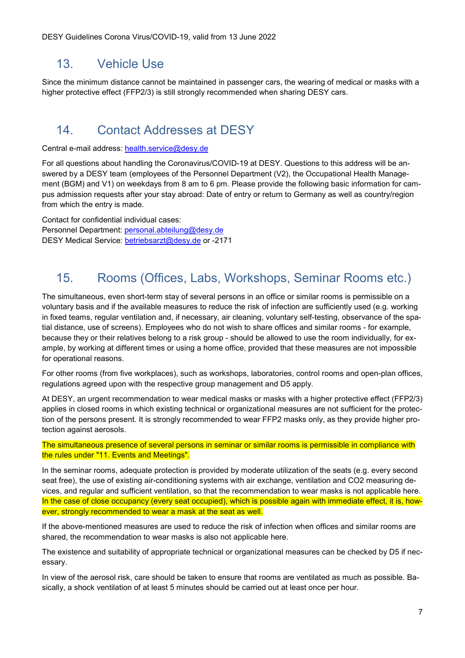## <span id="page-6-0"></span>13. Vehicle Use

Since the minimum distance cannot be maintained in passenger cars, the wearing of medical or masks with a higher protective effect (FFP2/3) is still strongly recommended when sharing DESY cars.

## <span id="page-6-1"></span>14. Contact Addresses at DESY

Central e-mail address: [health.service@desy.de](mailto:health.service@desy.de)

For all questions about handling the Coronavirus/COVID-19 at DESY. Questions to this address will be answered by a DESY team (employees of the Personnel Department (V2), the Occupational Health Management (BGM) and V1) on weekdays from 8 am to 6 pm. Please provide the following basic information for campus admission requests after your stay abroad: Date of entry or return to Germany as well as country/region from which the entry is made.

Contact for confidential individual cases: Personnel Department: [personal.abteilung@desy.de](mailto:personal.abteilung@desy.de) DESY Medical Service: [betriebsarzt@desy.de](mailto:betriebsarzt@desy.de) or -2171

# <span id="page-6-2"></span>15. Rooms (Offices, Labs, Workshops, Seminar Rooms etc.)

The simultaneous, even short-term stay of several persons in an office or similar rooms is permissible on a voluntary basis and if the available measures to reduce the risk of infection are sufficiently used (e.g. working in fixed teams, regular ventilation and, if necessary, air cleaning, voluntary self-testing, observance of the spatial distance, use of screens). Employees who do not wish to share offices and similar rooms - for example, because they or their relatives belong to a risk group - should be allowed to use the room individually, for example, by working at different times or using a home office, provided that these measures are not impossible for operational reasons.

For other rooms (from five workplaces), such as workshops, laboratories, control rooms and open-plan offices, regulations agreed upon with the respective group management and D5 apply.

At DESY, an urgent recommendation to wear medical masks or masks with a higher protective effect (FFP2/3) applies in closed rooms in which existing technical or organizational measures are not sufficient for the protection of the persons present. It is strongly recommended to wear FFP2 masks only, as they provide higher protection against aerosols.

The simultaneous presence of several persons in seminar or similar rooms is permissible in compliance with the rules under "11. Events and Meetings".

In the seminar rooms, adequate protection is provided by moderate utilization of the seats (e.g. every second seat free), the use of existing air-conditioning systems with air exchange, ventilation and CO2 measuring devices, and regular and sufficient ventilation, so that the recommendation to wear masks is not applicable here. In the case of close occupancy (every seat occupied), which is possible again with immediate effect, it is, however, strongly recommended to wear a mask at the seat as well.

If the above-mentioned measures are used to reduce the risk of infection when offices and similar rooms are shared, the recommendation to wear masks is also not applicable here.

The existence and suitability of appropriate technical or organizational measures can be checked by D5 if necessary.

In view of the aerosol risk, care should be taken to ensure that rooms are ventilated as much as possible. Basically, a shock ventilation of at least 5 minutes should be carried out at least once per hour.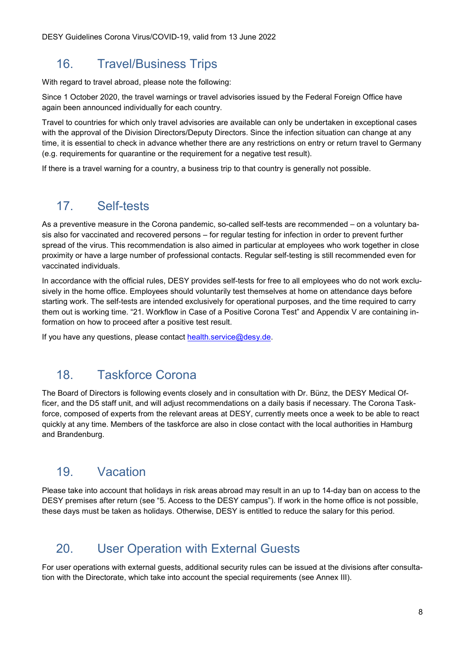## <span id="page-7-0"></span>16. Travel/Business Trips

With regard to travel abroad, please note the following:

Since 1 October 2020, the travel warnings or travel advisories issued by the Federal Foreign Office have again been announced individually for each country.

Travel to countries for which only travel advisories are available can only be undertaken in exceptional cases with the approval of the Division Directors/Deputy Directors. Since the infection situation can change at any time, it is essential to check in advance whether there are any restrictions on entry or return travel to Germany (e.g. requirements for quarantine or the requirement for a negative test result).

If there is a travel warning for a country, a business trip to that country is generally not possible.

# <span id="page-7-1"></span>17. Self-tests

As a preventive measure in the Corona pandemic, so-called self-tests are recommended – on a voluntary basis also for vaccinated and recovered persons – for regular testing for infection in order to prevent further spread of the virus. This recommendation is also aimed in particular at employees who work together in close proximity or have a large number of professional contacts. Regular self-testing is still recommended even for vaccinated individuals.

In accordance with the official rules, DESY provides self-tests for free to all employees who do not work exclusively in the home office. Employees should voluntarily test themselves at home on attendance days before starting work. The self-tests are intended exclusively for operational purposes, and the time required to carry them out is working time. "21. Workflow in Case of a Positive Corona Test" and Appendix V are containing information on how to proceed after a positive test result.

If you have any questions, please contact [health.service@desy.de.](mailto:health.service@desy.de)

# <span id="page-7-2"></span>18. Taskforce Corona

The Board of Directors is following events closely and in consultation with Dr. Bünz, the DESY Medical Officer, and the D5 staff unit, and will adjust recommendations on a daily basis if necessary. The Corona Taskforce, composed of experts from the relevant areas at DESY, currently meets once a week to be able to react quickly at any time. Members of the taskforce are also in close contact with the local authorities in Hamburg and Brandenburg.

### <span id="page-7-3"></span>19. Vacation

Please take into account that holidays in risk areas abroad may result in an up to 14-day ban on access to the DESY premises after return (see "5. Access to the DESY campus"). If work in the home office is not possible, these days must be taken as holidays. Otherwise, DESY is entitled to reduce the salary for this period.

### <span id="page-7-4"></span>20. User Operation with External Guests

For user operations with external guests, additional security rules can be issued at the divisions after consultation with the Directorate, which take into account the special requirements (see Annex III).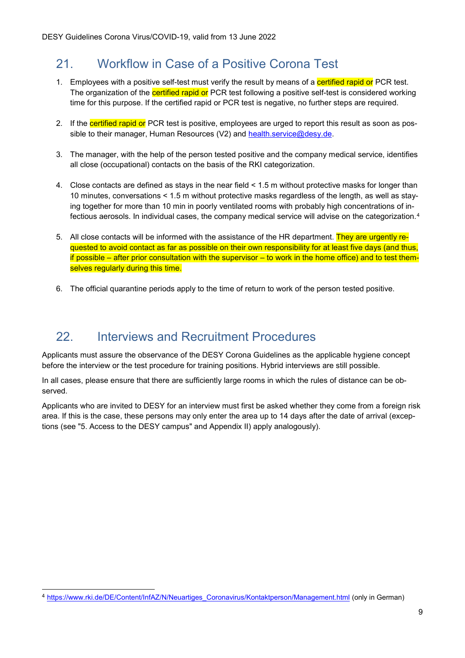# <span id="page-8-0"></span>21. Workflow in Case of a Positive Corona Test

- 1. Employees with a positive self-test must verify the result by means of a certified rapid or PCR test. The organization of the **certified rapid or** PCR test following a positive self-test is considered working time for this purpose. If the certified rapid or PCR test is negative, no further steps are required.
- 2. If the **certified rapid or** PCR test is positive, employees are urged to report this result as soon as possible to their manager, Human Resources (V2) and [health.service@desy.de.](mailto:health.service@desy.de)
- 3. The manager, with the help of the person tested positive and the company medical service, identifies all close (occupational) contacts on the basis of the RKI categorization.
- 4. Close contacts are defined as stays in the near field < 1.5 m without protective masks for longer than 10 minutes, conversations < 1.5 m without protective masks regardless of the length, as well as staying together for more than 10 min in poorly ventilated rooms with probably high concentrations of infectious aerosols. In individual cases, the company medical service will advise on the categorization.[4](#page-8-2)
- 5. All close contacts will be informed with the assistance of the HR department. They are urgently requested to avoid contact as far as possible on their own responsibility for at least five days (and thus, if possible – after prior consultation with the supervisor – to work in the home office) and to test themselves regularly during this time.
- 6. The official quarantine periods apply to the time of return to work of the person tested positive.

# <span id="page-8-1"></span>22. Interviews and Recruitment Procedures

Applicants must assure the observance of the DESY Corona Guidelines as the applicable hygiene concept before the interview or the test procedure for training positions. Hybrid interviews are still possible.

In all cases, please ensure that there are sufficiently large rooms in which the rules of distance can be observed.

Applicants who are invited to DESY for an interview must first be asked whether they come from a foreign risk area. If this is the case, these persons may only enter the area up to 14 days after the date of arrival (exceptions (see "5. Access to the DESY campus" and Appendix II) apply analogously).

<span id="page-8-2"></span> <sup>4</sup> [https://www.rki.de/DE/Content/InfAZ/N/Neuartiges\\_Coronavirus/Kontaktperson/Management.html](https://www.rki.de/DE/Content/InfAZ/N/Neuartiges_Coronavirus/Kontaktperson/Management.html) (only in German)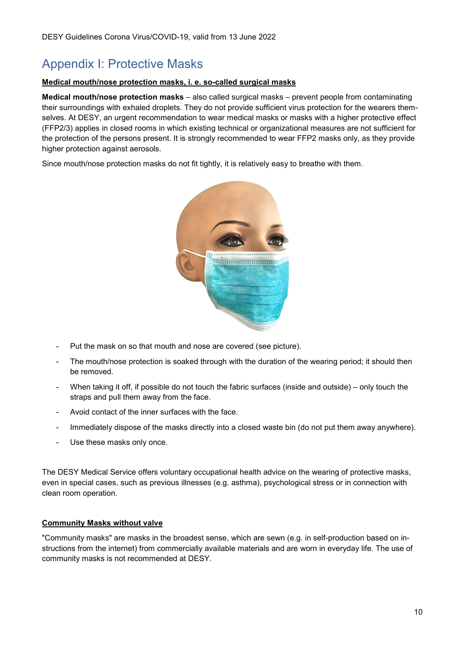# <span id="page-9-0"></span>Appendix I: Protective Masks

#### **Medical mouth/nose protection masks, i. e. so-called surgical masks**

**Medical mouth/nose protection masks** – also called surgical masks – prevent people from contaminating their surroundings with exhaled droplets. They do not provide sufficient virus protection for the wearers themselves. At DESY, an urgent recommendation to wear medical masks or masks with a higher protective effect (FFP2/3) applies in closed rooms in which existing technical or organizational measures are not sufficient for the protection of the persons present. It is strongly recommended to wear FFP2 masks only, as they provide higher protection against aerosols.

Since mouth/nose protection masks do not fit tightly, it is relatively easy to breathe with them.



- Put the mask on so that mouth and nose are covered (see picture).
- The mouth/nose protection is soaked through with the duration of the wearing period; it should then be removed.
- When taking it off, if possible do not touch the fabric surfaces (inside and outside) only touch the straps and pull them away from the face.
- Avoid contact of the inner surfaces with the face.
- Immediately dispose of the masks directly into a closed waste bin (do not put them away anywhere).
- Use these masks only once.

The DESY Medical Service offers voluntary occupational health advice on the wearing of protective masks, even in special cases, such as previous illnesses (e.g. asthma), psychological stress or in connection with clean room operation.

#### **Community Masks without valve**

"Community masks" are masks in the broadest sense, which are sewn (e.g. in self-production based on instructions from the internet) from commercially available materials and are worn in everyday life. The use of community masks is not recommended at DESY.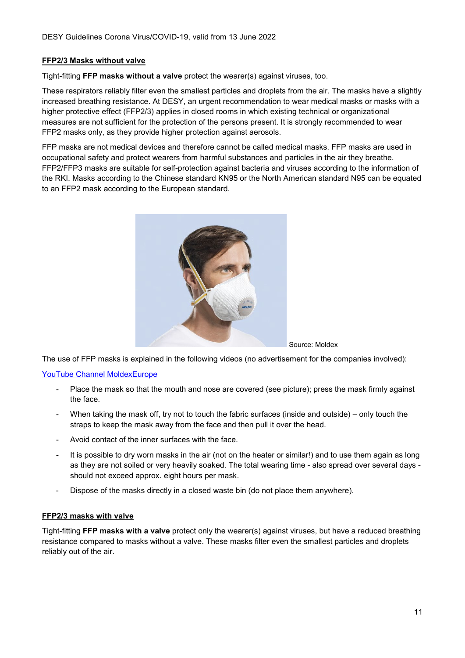#### **FFP2/3 Masks without valve**

Tight-fitting **FFP masks without a valve** protect the wearer(s) against viruses, too.

These respirators reliably filter even the smallest particles and droplets from the air. The masks have a slightly increased breathing resistance. At DESY, an urgent recommendation to wear medical masks or masks with a higher protective effect (FFP2/3) applies in closed rooms in which existing technical or organizational measures are not sufficient for the protection of the persons present. It is strongly recommended to wear FFP2 masks only, as they provide higher protection against aerosols.

FFP masks are not medical devices and therefore cannot be called medical masks. FFP masks are used in occupational safety and protect wearers from harmful substances and particles in the air they breathe. FFP2/FFP3 masks are suitable for self-protection against bacteria and viruses according to the information of the RKI. Masks according to the Chinese standard KN95 or the North American standard N95 can be equated to an FFP2 mask according to the European standard.



The use of FFP masks is explained in the following videos (no advertisement for the companies involved):

### [YouTube Channel](https://www.youtube.com/playlist?list=PLyfOr1bL81FeOhxgchbj21iVrl0KKkRKc) MoldexEurope

- Place the mask so that the mouth and nose are covered (see picture); press the mask firmly against the face.
- When taking the mask off, try not to touch the fabric surfaces (inside and outside) only touch the straps to keep the mask away from the face and then pull it over the head.
- Avoid contact of the inner surfaces with the face.
- It is possible to dry worn masks in the air (not on the heater or similar!) and to use them again as long as they are not soiled or very heavily soaked. The total wearing time - also spread over several days should not exceed approx. eight hours per mask.
- Dispose of the masks directly in a closed waste bin (do not place them anywhere).

#### **FFP2/3 masks with valve**

Tight-fitting **FFP masks with a valve** protect only the wearer(s) against viruses, but have a reduced breathing resistance compared to masks without a valve. These masks filter even the smallest particles and droplets reliably out of the air.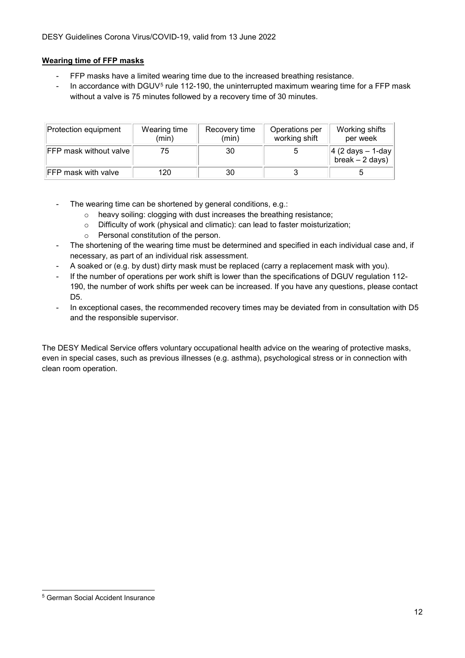### **Wearing time of FFP masks**

- FFP masks have a limited wearing time due to the increased breathing resistance.
- In accordance with DGUV<sup>[5](#page-11-0)</sup> rule 112-190, the uninterrupted maximum wearing time for a FFP mask without a valve is 75 minutes followed by a recovery time of 30 minutes.

| Protection equipment                           | Wearing time<br>(min) | Recovery time<br>(min) | Operations per<br>working shift | Working shifts<br>per week                 |
|------------------------------------------------|-----------------------|------------------------|---------------------------------|--------------------------------------------|
| $\parallel$ FFP mask without valve $\parallel$ | 75                    | 30                     |                                 | $ 4 (2 days - 1-day $<br>$break - 2 days)$ |
| $\mathsf{IFFP}$ mask with valve                | 120                   | 30                     |                                 |                                            |

- The wearing time can be shortened by general conditions, e.g.:
	- o heavy soiling: clogging with dust increases the breathing resistance;
	- o Difficulty of work (physical and climatic): can lead to faster moisturization;
	- o Personal constitution of the person.
- The shortening of the wearing time must be determined and specified in each individual case and, if necessary, as part of an individual risk assessment.
- A soaked or (e.g. by dust) dirty mask must be replaced (carry a replacement mask with you).
- If the number of operations per work shift is lower than the specifications of DGUV regulation 112-190, the number of work shifts per week can be increased. If you have any questions, please contact D<sub>5</sub>.
- In exceptional cases, the recommended recovery times may be deviated from in consultation with D5 and the responsible supervisor.

The DESY Medical Service offers voluntary occupational health advice on the wearing of protective masks, even in special cases, such as previous illnesses (e.g. asthma), psychological stress or in connection with clean room operation.

<span id="page-11-0"></span> <sup>5</sup> German Social Accident Insurance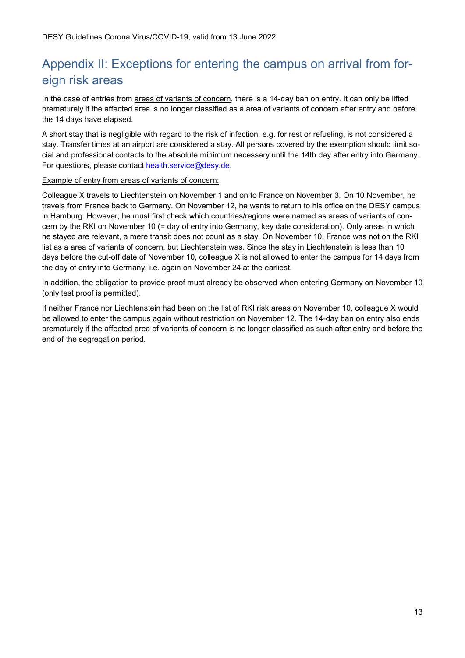# <span id="page-12-0"></span>Appendix II: Exceptions for entering the campus on arrival from foreign risk areas

In the case of entries from areas of variants of concern, there is a 14-day ban on entry. It can only be lifted prematurely if the affected area is no longer classified as a area of variants of concern after entry and before the 14 days have elapsed.

A short stay that is negligible with regard to the risk of infection, e.g. for rest or refueling, is not considered a stay. Transfer times at an airport are considered a stay. All persons covered by the exemption should limit social and professional contacts to the absolute minimum necessary until the 14th day after entry into Germany. For questions, please contact [health.service@desy.de.](mailto:health.service@desy.de)

Example of entry from areas of variants of concern:

Colleague X travels to Liechtenstein on November 1 and on to France on November 3. On 10 November, he travels from France back to Germany. On November 12, he wants to return to his office on the DESY campus in Hamburg. However, he must first check which countries/regions were named as areas of variants of concern by the RKI on November 10 (= day of entry into Germany, key date consideration). Only areas in which he stayed are relevant, a mere transit does not count as a stay. On November 10, France was not on the RKI list as a area of variants of concern, but Liechtenstein was. Since the stay in Liechtenstein is less than 10 days before the cut-off date of November 10, colleague X is not allowed to enter the campus for 14 days from the day of entry into Germany, i.e. again on November 24 at the earliest.

In addition, the obligation to provide proof must already be observed when entering Germany on November 10 (only test proof is permitted).

If neither France nor Liechtenstein had been on the list of RKI risk areas on November 10, colleague X would be allowed to enter the campus again without restriction on November 12. The 14-day ban on entry also ends prematurely if the affected area of variants of concern is no longer classified as such after entry and before the end of the segregation period.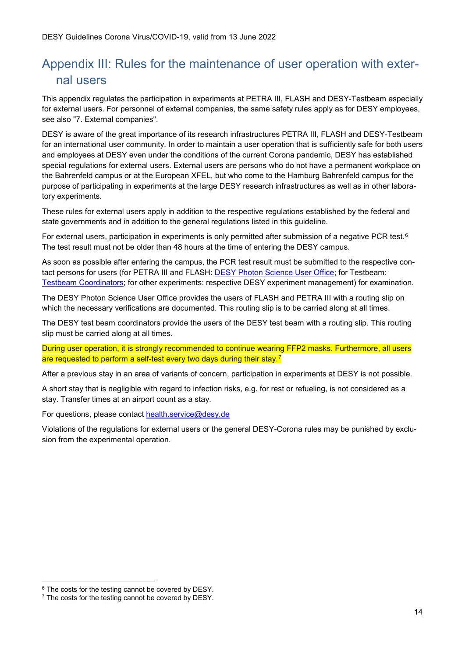# <span id="page-13-0"></span>Appendix III: Rules for the maintenance of user operation with external users

This appendix regulates the participation in experiments at PETRA III, FLASH and DESY-Testbeam especially for external users. For personnel of external companies, the same safety rules apply as for DESY employees, see also "7. External companies".

DESY is aware of the great importance of its research infrastructures PETRA III, FLASH and DESY-Testbeam for an international user community. In order to maintain a user operation that is sufficiently safe for both users and employees at DESY even under the conditions of the current Corona pandemic, DESY has established special regulations for external users. External users are persons who do not have a permanent workplace on the Bahrenfeld campus or at the European XFEL, but who come to the Hamburg Bahrenfeld campus for the purpose of participating in experiments at the large DESY research infrastructures as well as in other laboratory experiments.

These rules for external users apply in addition to the respective regulations established by the federal and state governments and in addition to the general regulations listed in this guideline.

For external users, participation in experiments is only permitted after submission of a negative PCR test.<sup>[6](#page-13-1)</sup> The test result must not be older than 48 hours at the time of entering the DESY campus.

As soon as possible after entering the campus, the PCR test result must be submitted to the respective contact persons for users (for PETRA III and FLASH: [DESY Photon Science User Office;](mailto:photon-science.users-office@desy.de) for Testbeam: [Testbeam Coordinators;](mailto:testbeam-coor@DESY.de) for other experiments: respective DESY experiment management) for examination.

The DESY Photon Science User Office provides the users of FLASH and PETRA III with a routing slip on which the necessary verifications are documented. This routing slip is to be carried along at all times.

The DESY test beam coordinators provide the users of the DESY test beam with a routing slip. This routing slip must be carried along at all times.

During user operation, it is strongly recommended to continue wearing FFP2 masks. Furthermore, all users are requested to perform a self-test every two days during their stay.<sup>[7](#page-13-2)</sup>

After a previous stay in an area of variants of concern, participation in experiments at DESY is not possible.

A short stay that is negligible with regard to infection risks, e.g. for rest or refueling, is not considered as a stay. Transfer times at an airport count as a stay.

For questions, please contact [health.service@desy.de](mailto:health.service@desy.de)

Violations of the regulations for external users or the general DESY-Corona rules may be punished by exclusion from the experimental operation.

<span id="page-13-1"></span> $6$  The costs for the testing cannot be covered by DESY.

<span id="page-13-2"></span><sup>&</sup>lt;sup>7</sup> The costs for the testing cannot be covered by DESY.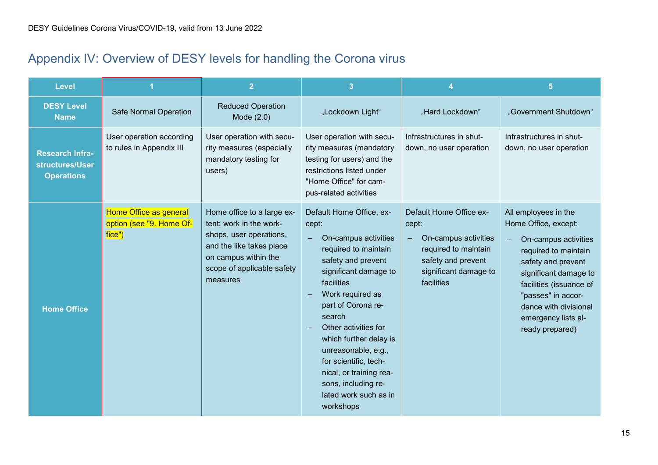# Appendix IV: Overview of DESY levels for handling the Corona virus

<span id="page-14-0"></span>

| <b>Level</b>                                                   |                                                              | $\overline{2}$                                                                                                                                                                 | $\overline{3}$                                                                                                                                                                                                                                                                                                                                                                               | 4                                                                                                                                             | 5                                                                                                                                                                                                                                                               |
|----------------------------------------------------------------|--------------------------------------------------------------|--------------------------------------------------------------------------------------------------------------------------------------------------------------------------------|----------------------------------------------------------------------------------------------------------------------------------------------------------------------------------------------------------------------------------------------------------------------------------------------------------------------------------------------------------------------------------------------|-----------------------------------------------------------------------------------------------------------------------------------------------|-----------------------------------------------------------------------------------------------------------------------------------------------------------------------------------------------------------------------------------------------------------------|
| <b>DESY Level</b><br><b>Name</b>                               | <b>Safe Normal Operation</b>                                 | <b>Reduced Operation</b><br>Mode $(2.0)$                                                                                                                                       | "Lockdown Light"                                                                                                                                                                                                                                                                                                                                                                             | "Hard Lockdown"                                                                                                                               | "Government Shutdown"                                                                                                                                                                                                                                           |
| <b>Research Infra-</b><br>structures/User<br><b>Operations</b> | User operation according<br>to rules in Appendix III         | User operation with secu-<br>rity measures (especially<br>mandatory testing for<br>users)                                                                                      | User operation with secu-<br>rity measures (mandatory<br>testing for users) and the<br>restrictions listed under<br>"Home Office" for cam-<br>pus-related activities                                                                                                                                                                                                                         | Infrastructures in shut-<br>down, no user operation                                                                                           | Infrastructures in shut-<br>down, no user operation                                                                                                                                                                                                             |
| <b>Home Office</b>                                             | Home Office as general<br>option (see "9. Home Of-<br>fice") | Home office to a large ex-<br>tent; work in the work-<br>shops, user operations,<br>and the like takes place<br>on campus within the<br>scope of applicable safety<br>measures | Default Home Office, ex-<br>cept:<br>On-campus activities<br>required to maintain<br>safety and prevent<br>significant damage to<br>facilities<br>Work required as<br>part of Corona re-<br>search<br>Other activities for<br>which further delay is<br>unreasonable, e.g.,<br>for scientific, tech-<br>nical, or training rea-<br>sons, including re-<br>lated work such as in<br>workshops | Default Home Office ex-<br>cept:<br>On-campus activities<br>required to maintain<br>safety and prevent<br>significant damage to<br>facilities | All employees in the<br>Home Office, except:<br>On-campus activities<br>required to maintain<br>safety and prevent<br>significant damage to<br>facilities (issuance of<br>"passes" in accor-<br>dance with divisional<br>emergency lists al-<br>ready prepared) |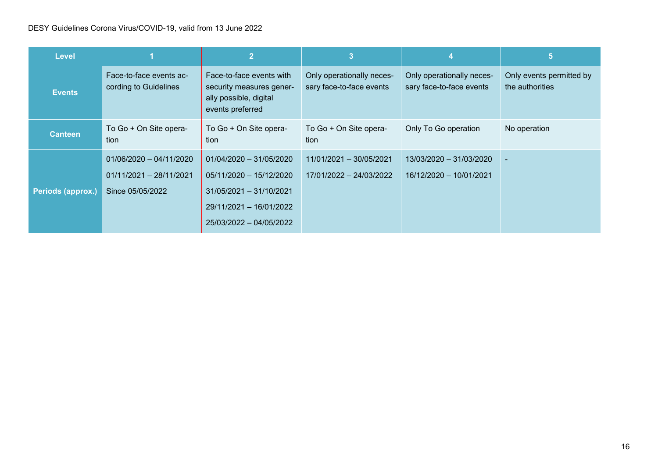### DESY Guidelines Corona Virus/COVID-19, valid from 13 June 2022

| <b>Level</b>      |                                                                            | 2                                                                                                                                       |                                                       |                                                       | 5                                           |
|-------------------|----------------------------------------------------------------------------|-----------------------------------------------------------------------------------------------------------------------------------------|-------------------------------------------------------|-------------------------------------------------------|---------------------------------------------|
| <b>Events</b>     | Face-to-face events ac-<br>cording to Guidelines                           | Face-to-face events with<br>security measures gener-<br>ally possible, digital<br>events preferred                                      | Only operationally neces-<br>sary face-to-face events | Only operationally neces-<br>sary face-to-face events | Only events permitted by<br>the authorities |
| <b>Canteen</b>    | To Go + On Site opera-<br>tion                                             | To Go + On Site opera-<br>tion                                                                                                          | To Go + On Site opera-<br>tion                        | Only To Go operation                                  | No operation                                |
| Periods (approx.) | $01/06/2020 - 04/11/2020$<br>$01/11/2021 - 28/11/2021$<br>Since 05/05/2022 | $01/04/2020 - 31/05/2020$<br>05/11/2020 - 15/12/2020<br>$31/05/2021 - 31/10/2021$<br>29/11/2021 - 16/01/2022<br>25/03/2022 - 04/05/2022 | 11/01/2021 - 30/05/2021<br>17/01/2022 - 24/03/2022    | 13/03/2020 - 31/03/2020<br>16/12/2020 - 10/01/2021    |                                             |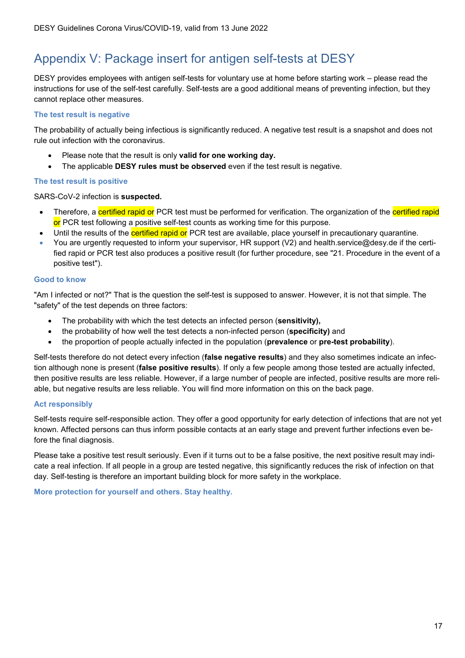# <span id="page-16-0"></span>Appendix V: Package insert for antigen self-tests at DESY

DESY provides employees with antigen self-tests for voluntary use at home before starting work – please read the instructions for use of the self-test carefully. Self-tests are a good additional means of preventing infection, but they cannot replace other measures.

#### **The test result is negative**

The probability of actually being infectious is significantly reduced. A negative test result is a snapshot and does not rule out infection with the coronavirus.

- Please note that the result is only **valid for one working day.**
- The applicable **DESY rules must be observed** even if the test result is negative.

#### **The test result is positive**

SARS-CoV-2 infection is **suspected.** 

- Therefore, a certified rapid or PCR test must be performed for verification. The organization of the certified rapid or PCR test following a positive self-test counts as working time for this purpose.
- Until the results of the **certified rapid or** PCR test are available, place yourself in precautionary quarantine.
- You are urgently requested to inform your supervisor, HR support (V2) and health.service@desy.de if the certified rapid or PCR test also produces a positive result (for further procedure, see "21. Procedure in the event of a positive test").

#### **Good to know**

"Am I infected or not?" That is the question the self-test is supposed to answer. However, it is not that simple. The "safety" of the test depends on three factors:

- The probability with which the test detects an infected person (**sensitivity),**
- the probability of how well the test detects a non-infected person (**specificity)** and
- the proportion of people actually infected in the population (**prevalence** or **pre-test probability**).

Self-tests therefore do not detect every infection (**false negative results**) and they also sometimes indicate an infection although none is present (**false positive results**). If only a few people among those tested are actually infected, then positive results are less reliable. However, if a large number of people are infected, positive results are more reliable, but negative results are less reliable. You will find more information on this on the back page.

### **Act responsibly**

Self-tests require self-responsible action. They offer a good opportunity for early detection of infections that are not yet known. Affected persons can thus inform possible contacts at an early stage and prevent further infections even before the final diagnosis.

Please take a positive test result seriously. Even if it turns out to be a false positive, the next positive result may indicate a real infection. If all people in a group are tested negative, this significantly reduces the risk of infection on that day. Self-testing is therefore an important building block for more safety in the workplace.

**More protection for yourself and others. Stay healthy.**